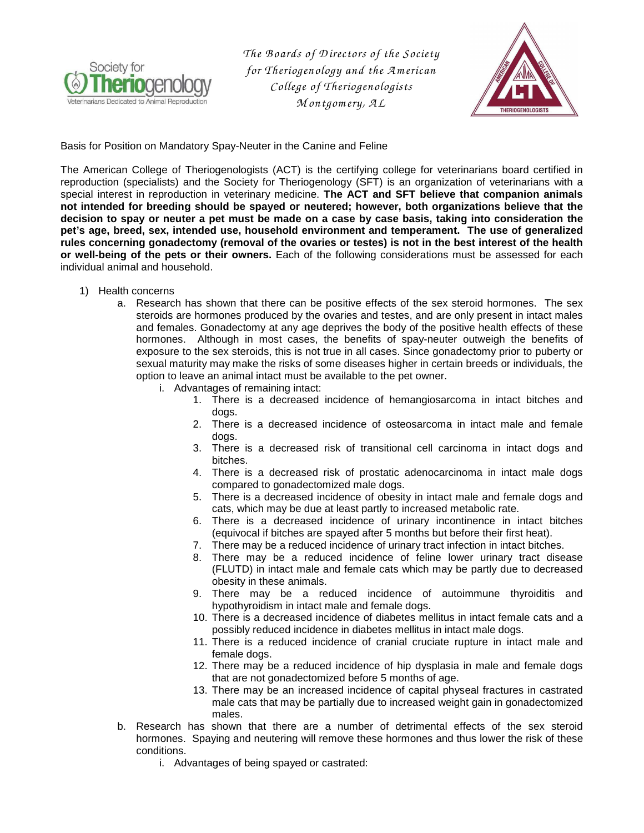

*The B oards of D irectors of the Society for Theriogenology and the A m erican College of Theriogenologists M ontgom ery, A L* 



Basis for Position on Mandatory Spay-Neuter in the Canine and Feline

The American College of Theriogenologists (ACT) is the certifying college for veterinarians board certified in reproduction (specialists) and the Society for Theriogenology (SFT) is an organization of veterinarians with a special interest in reproduction in veterinary medicine. **The ACT and SFT believe that companion animals not intended for breeding should be spayed or neutered; however, both organizations believe that the decision to spay or neuter a pet must be made on a case by case basis, taking into consideration the pet's age, breed, sex, intended use, household environment and temperament. The use of generalized rules concerning gonadectomy (removal of the ovaries or testes) is not in the best interest of the health or well-being of the pets or their owners.** Each of the following considerations must be assessed for each individual animal and household.

- 1) Health concerns
	- a. Research has shown that there can be positive effects of the sex steroid hormones. The sex steroids are hormones produced by the ovaries and testes, and are only present in intact males and females. Gonadectomy at any age deprives the body of the positive health effects of these hormones. Although in most cases, the benefits of spay-neuter outweigh the benefits of exposure to the sex steroids, this is not true in all cases. Since gonadectomy prior to puberty or sexual maturity may make the risks of some diseases higher in certain breeds or individuals, the option to leave an animal intact must be available to the pet owner.
		- i. Advantages of remaining intact:
			- 1. There is a decreased incidence of hemangiosarcoma in intact bitches and dogs.
			- 2. There is a decreased incidence of osteosarcoma in intact male and female dogs.
			- 3. There is a decreased risk of transitional cell carcinoma in intact dogs and bitches.
			- 4. There is a decreased risk of prostatic adenocarcinoma in intact male dogs compared to gonadectomized male dogs.
			- 5. There is a decreased incidence of obesity in intact male and female dogs and cats, which may be due at least partly to increased metabolic rate.
			- 6. There is a decreased incidence of urinary incontinence in intact bitches (equivocal if bitches are spayed after 5 months but before their first heat).
			- 7. There may be a reduced incidence of urinary tract infection in intact bitches.
			- 8. There may be a reduced incidence of feline lower urinary tract disease (FLUTD) in intact male and female cats which may be partly due to decreased obesity in these animals.
			- 9. There may be a reduced incidence of autoimmune thyroiditis and hypothyroidism in intact male and female dogs.
			- 10. There is a decreased incidence of diabetes mellitus in intact female cats and a possibly reduced incidence in diabetes mellitus in intact male dogs.
			- 11. There is a reduced incidence of cranial cruciate rupture in intact male and female dogs.
			- 12. There may be a reduced incidence of hip dysplasia in male and female dogs that are not gonadectomized before 5 months of age.
			- 13. There may be an increased incidence of capital physeal fractures in castrated male cats that may be partially due to increased weight gain in gonadectomized males.
	- b. Research has shown that there are a number of detrimental effects of the sex steroid hormones. Spaying and neutering will remove these hormones and thus lower the risk of these conditions.
		- i. Advantages of being spayed or castrated: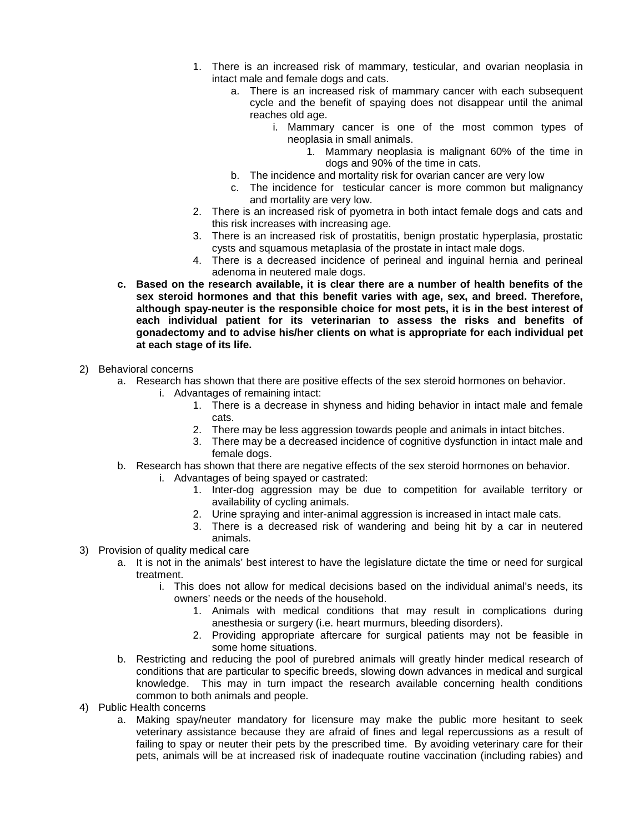- 1. There is an increased risk of mammary, testicular, and ovarian neoplasia in intact male and female dogs and cats.
	- a. There is an increased risk of mammary cancer with each subsequent cycle and the benefit of spaying does not disappear until the animal reaches old age.
		- i. Mammary cancer is one of the most common types of neoplasia in small animals.
			- 1. Mammary neoplasia is malignant 60% of the time in dogs and 90% of the time in cats.
	- b. The incidence and mortality risk for ovarian cancer are very low
	- c. The incidence for testicular cancer is more common but malignancy and mortality are very low.
- 2. There is an increased risk of pyometra in both intact female dogs and cats and this risk increases with increasing age.
- 3. There is an increased risk of prostatitis, benign prostatic hyperplasia, prostatic cysts and squamous metaplasia of the prostate in intact male dogs.
- 4. There is a decreased incidence of perineal and inguinal hernia and perineal adenoma in neutered male dogs.
- **c. Based on the research available, it is clear there are a number of health benefits of the sex steroid hormones and that this benefit varies with age, sex, and breed. Therefore, although spay-neuter is the responsible choice for most pets, it is in the best interest of each individual patient for its veterinarian to assess the risks and benefits of gonadectomy and to advise his/her clients on what is appropriate for each individual pet at each stage of its life.**
- 2) Behavioral concerns
	- a. Research has shown that there are positive effects of the sex steroid hormones on behavior.
		- i. Advantages of remaining intact:
			- 1. There is a decrease in shyness and hiding behavior in intact male and female cats.
			- 2. There may be less aggression towards people and animals in intact bitches.
			- 3. There may be a decreased incidence of cognitive dysfunction in intact male and female dogs.
	- b. Research has shown that there are negative effects of the sex steroid hormones on behavior.
		- i. Advantages of being spayed or castrated:
			- 1. Inter-dog aggression may be due to competition for available territory or availability of cycling animals.
			- 2. Urine spraying and inter-animal aggression is increased in intact male cats.
			- 3. There is a decreased risk of wandering and being hit by a car in neutered animals.
- 3) Provision of quality medical care
	- a. It is not in the animals' best interest to have the legislature dictate the time or need for surgical treatment.
		- i. This does not allow for medical decisions based on the individual animal's needs, its owners' needs or the needs of the household.
			- 1. Animals with medical conditions that may result in complications during anesthesia or surgery (i.e. heart murmurs, bleeding disorders).
			- 2. Providing appropriate aftercare for surgical patients may not be feasible in some home situations.
	- b. Restricting and reducing the pool of purebred animals will greatly hinder medical research of conditions that are particular to specific breeds, slowing down advances in medical and surgical knowledge. This may in turn impact the research available concerning health conditions common to both animals and people.
- 4) Public Health concerns
	- a. Making spay/neuter mandatory for licensure may make the public more hesitant to seek veterinary assistance because they are afraid of fines and legal repercussions as a result of failing to spay or neuter their pets by the prescribed time. By avoiding veterinary care for their pets, animals will be at increased risk of inadequate routine vaccination (including rabies) and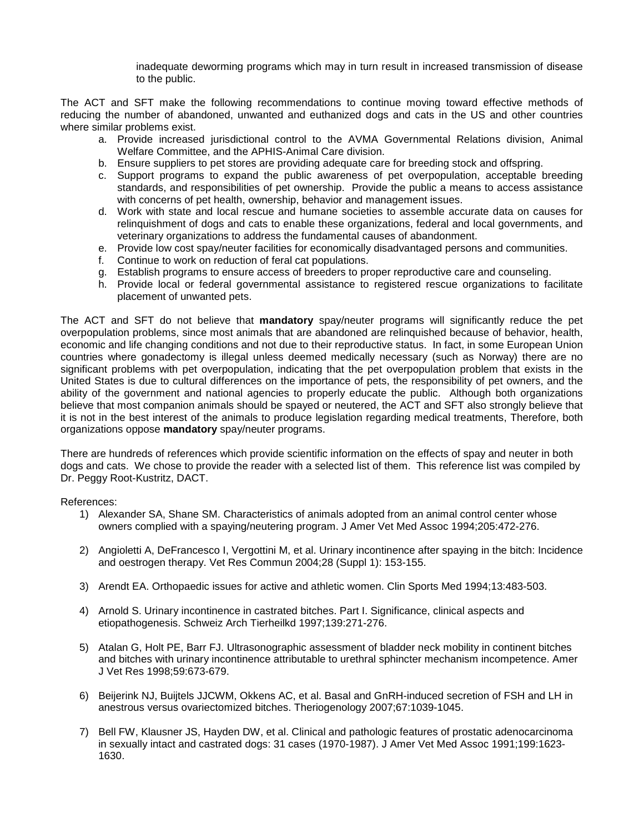inadequate deworming programs which may in turn result in increased transmission of disease to the public.

The ACT and SFT make the following recommendations to continue moving toward effective methods of reducing the number of abandoned, unwanted and euthanized dogs and cats in the US and other countries where similar problems exist.

- a. Provide increased jurisdictional control to the AVMA Governmental Relations division, Animal Welfare Committee, and the APHIS-Animal Care division.
- b. Ensure suppliers to pet stores are providing adequate care for breeding stock and offspring.
- c. Support programs to expand the public awareness of pet overpopulation, acceptable breeding standards, and responsibilities of pet ownership. Provide the public a means to access assistance with concerns of pet health, ownership, behavior and management issues.
- d. Work with state and local rescue and humane societies to assemble accurate data on causes for relinquishment of dogs and cats to enable these organizations, federal and local governments, and veterinary organizations to address the fundamental causes of abandonment.
- e. Provide low cost spay/neuter facilities for economically disadvantaged persons and communities.
- f. Continue to work on reduction of feral cat populations.
- g. Establish programs to ensure access of breeders to proper reproductive care and counseling.
- h. Provide local or federal governmental assistance to registered rescue organizations to facilitate placement of unwanted pets.

The ACT and SFT do not believe that **mandatory** spay/neuter programs will significantly reduce the pet overpopulation problems, since most animals that are abandoned are relinquished because of behavior, health, economic and life changing conditions and not due to their reproductive status. In fact, in some European Union countries where gonadectomy is illegal unless deemed medically necessary (such as Norway) there are no significant problems with pet overpopulation, indicating that the pet overpopulation problem that exists in the United States is due to cultural differences on the importance of pets, the responsibility of pet owners, and the ability of the government and national agencies to properly educate the public. Although both organizations believe that most companion animals should be spayed or neutered, the ACT and SFT also strongly believe that it is not in the best interest of the animals to produce legislation regarding medical treatments, Therefore, both organizations oppose **mandatory** spay/neuter programs.

There are hundreds of references which provide scientific information on the effects of spay and neuter in both dogs and cats. We chose to provide the reader with a selected list of them. This reference list was compiled by Dr. Peggy Root-Kustritz, DACT.

## References:

- 1) Alexander SA, Shane SM. Characteristics of animals adopted from an animal control center whose owners complied with a spaying/neutering program. J Amer Vet Med Assoc 1994;205:472-276.
- 2) Angioletti A, DeFrancesco I, Vergottini M, et al. Urinary incontinence after spaying in the bitch: Incidence and oestrogen therapy. Vet Res Commun 2004;28 (Suppl 1): 153-155.
- 3) Arendt EA. Orthopaedic issues for active and athletic women. Clin Sports Med 1994;13:483-503.
- 4) Arnold S. Urinary incontinence in castrated bitches. Part I. Significance, clinical aspects and etiopathogenesis. Schweiz Arch Tierheilkd 1997;139:271-276.
- 5) Atalan G, Holt PE, Barr FJ. Ultrasonographic assessment of bladder neck mobility in continent bitches and bitches with urinary incontinence attributable to urethral sphincter mechanism incompetence. Amer J Vet Res 1998;59:673-679.
- 6) Beijerink NJ, Buijtels JJCWM, Okkens AC, et al. Basal and GnRH-induced secretion of FSH and LH in anestrous versus ovariectomized bitches. Theriogenology 2007;67:1039-1045.
- 7) Bell FW, Klausner JS, Hayden DW, et al. Clinical and pathologic features of prostatic adenocarcinoma in sexually intact and castrated dogs: 31 cases (1970-1987). J Amer Vet Med Assoc 1991;199:1623- 1630.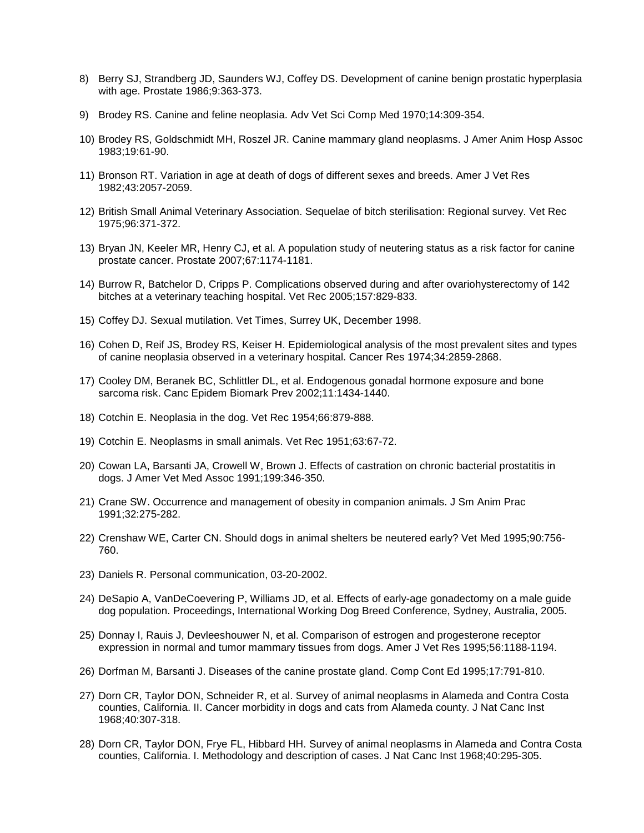- 8) Berry SJ, Strandberg JD, Saunders WJ, Coffey DS. Development of canine benign prostatic hyperplasia with age. Prostate 1986;9:363-373.
- 9) Brodey RS. Canine and feline neoplasia. Adv Vet Sci Comp Med 1970;14:309-354.
- 10) Brodey RS, Goldschmidt MH, Roszel JR. Canine mammary gland neoplasms. J Amer Anim Hosp Assoc 1983;19:61-90.
- 11) Bronson RT. Variation in age at death of dogs of different sexes and breeds. Amer J Vet Res 1982;43:2057-2059.
- 12) British Small Animal Veterinary Association. Sequelae of bitch sterilisation: Regional survey. Vet Rec 1975;96:371-372.
- 13) Bryan JN, Keeler MR, Henry CJ, et al. A population study of neutering status as a risk factor for canine prostate cancer. Prostate 2007;67:1174-1181.
- 14) Burrow R, Batchelor D, Cripps P. Complications observed during and after ovariohysterectomy of 142 bitches at a veterinary teaching hospital. Vet Rec 2005;157:829-833.
- 15) Coffey DJ. Sexual mutilation. Vet Times, Surrey UK, December 1998.
- 16) Cohen D, Reif JS, Brodey RS, Keiser H. Epidemiological analysis of the most prevalent sites and types of canine neoplasia observed in a veterinary hospital. Cancer Res 1974;34:2859-2868.
- 17) Cooley DM, Beranek BC, Schlittler DL, et al. Endogenous gonadal hormone exposure and bone sarcoma risk. Canc Epidem Biomark Prev 2002;11:1434-1440.
- 18) Cotchin E. Neoplasia in the dog. Vet Rec 1954;66:879-888.
- 19) Cotchin E. Neoplasms in small animals. Vet Rec 1951;63:67-72.
- 20) Cowan LA, Barsanti JA, Crowell W, Brown J. Effects of castration on chronic bacterial prostatitis in dogs. J Amer Vet Med Assoc 1991;199:346-350.
- 21) Crane SW. Occurrence and management of obesity in companion animals. J Sm Anim Prac 1991;32:275-282.
- 22) Crenshaw WE, Carter CN. Should dogs in animal shelters be neutered early? Vet Med 1995;90:756- 760.
- 23) Daniels R. Personal communication, 03-20-2002.
- 24) DeSapio A, VanDeCoevering P, Williams JD, et al. Effects of early-age gonadectomy on a male guide dog population. Proceedings, International Working Dog Breed Conference, Sydney, Australia, 2005.
- 25) Donnay I, Rauis J, Devleeshouwer N, et al. Comparison of estrogen and progesterone receptor expression in normal and tumor mammary tissues from dogs. Amer J Vet Res 1995;56:1188-1194.
- 26) Dorfman M, Barsanti J. Diseases of the canine prostate gland. Comp Cont Ed 1995;17:791-810.
- 27) Dorn CR, Taylor DON, Schneider R, et al. Survey of animal neoplasms in Alameda and Contra Costa counties, California. II. Cancer morbidity in dogs and cats from Alameda county. J Nat Canc Inst 1968;40:307-318.
- 28) Dorn CR, Taylor DON, Frye FL, Hibbard HH. Survey of animal neoplasms in Alameda and Contra Costa counties, California. I. Methodology and description of cases. J Nat Canc Inst 1968;40:295-305.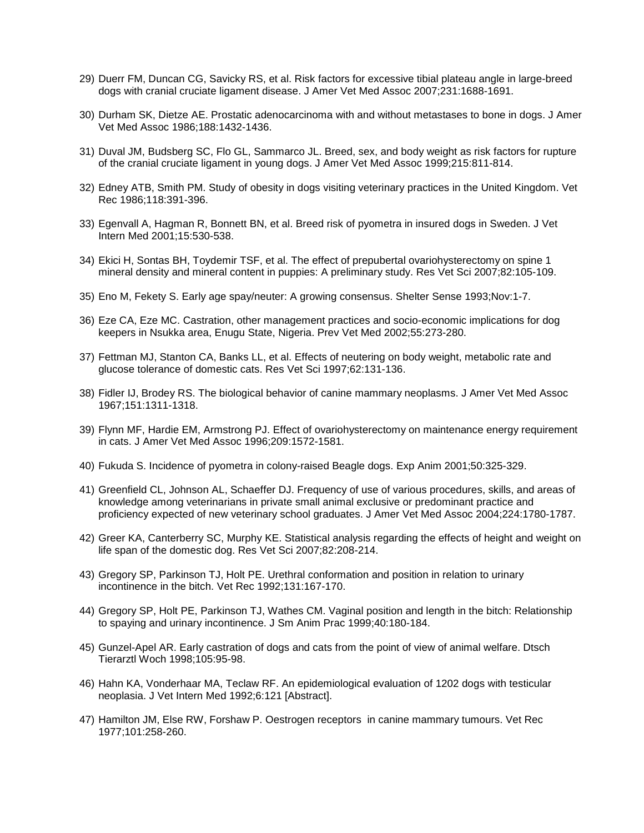- 29) Duerr FM, Duncan CG, Savicky RS, et al. Risk factors for excessive tibial plateau angle in large-breed dogs with cranial cruciate ligament disease. J Amer Vet Med Assoc 2007;231:1688-1691.
- 30) Durham SK, Dietze AE. Prostatic adenocarcinoma with and without metastases to bone in dogs. J Amer Vet Med Assoc 1986;188:1432-1436.
- 31) Duval JM, Budsberg SC, Flo GL, Sammarco JL. Breed, sex, and body weight as risk factors for rupture of the cranial cruciate ligament in young dogs. J Amer Vet Med Assoc 1999;215:811-814.
- 32) Edney ATB, Smith PM. Study of obesity in dogs visiting veterinary practices in the United Kingdom. Vet Rec 1986;118:391-396.
- 33) Egenvall A, Hagman R, Bonnett BN, et al. Breed risk of pyometra in insured dogs in Sweden. J Vet Intern Med 2001;15:530-538.
- 34) Ekici H, Sontas BH, Toydemir TSF, et al. The effect of prepubertal ovariohysterectomy on spine 1 mineral density and mineral content in puppies: A preliminary study. Res Vet Sci 2007;82:105-109.
- 35) Eno M, Fekety S. Early age spay/neuter: A growing consensus. Shelter Sense 1993;Nov:1-7.
- 36) Eze CA, Eze MC. Castration, other management practices and socio-economic implications for dog keepers in Nsukka area, Enugu State, Nigeria. Prev Vet Med 2002;55:273-280.
- 37) Fettman MJ, Stanton CA, Banks LL, et al. Effects of neutering on body weight, metabolic rate and glucose tolerance of domestic cats. Res Vet Sci 1997;62:131-136.
- 38) Fidler IJ, Brodey RS. The biological behavior of canine mammary neoplasms. J Amer Vet Med Assoc 1967;151:1311-1318.
- 39) Flynn MF, Hardie EM, Armstrong PJ. Effect of ovariohysterectomy on maintenance energy requirement in cats. J Amer Vet Med Assoc 1996;209:1572-1581.
- 40) Fukuda S. Incidence of pyometra in colony-raised Beagle dogs. Exp Anim 2001;50:325-329.
- 41) Greenfield CL, Johnson AL, Schaeffer DJ. Frequency of use of various procedures, skills, and areas of knowledge among veterinarians in private small animal exclusive or predominant practice and proficiency expected of new veterinary school graduates. J Amer Vet Med Assoc 2004;224:1780-1787.
- 42) Greer KA, Canterberry SC, Murphy KE. Statistical analysis regarding the effects of height and weight on life span of the domestic dog. Res Vet Sci 2007;82:208-214.
- 43) Gregory SP, Parkinson TJ, Holt PE. Urethral conformation and position in relation to urinary incontinence in the bitch. Vet Rec 1992;131:167-170.
- 44) Gregory SP, Holt PE, Parkinson TJ, Wathes CM. Vaginal position and length in the bitch: Relationship to spaying and urinary incontinence. J Sm Anim Prac 1999;40:180-184.
- 45) Gunzel-Apel AR. Early castration of dogs and cats from the point of view of animal welfare. Dtsch Tierarztl Woch 1998;105:95-98.
- 46) Hahn KA, Vonderhaar MA, Teclaw RF. An epidemiological evaluation of 1202 dogs with testicular neoplasia. J Vet Intern Med 1992;6:121 [Abstract].
- 47) Hamilton JM, Else RW, Forshaw P. Oestrogen receptors in canine mammary tumours. Vet Rec 1977;101:258-260.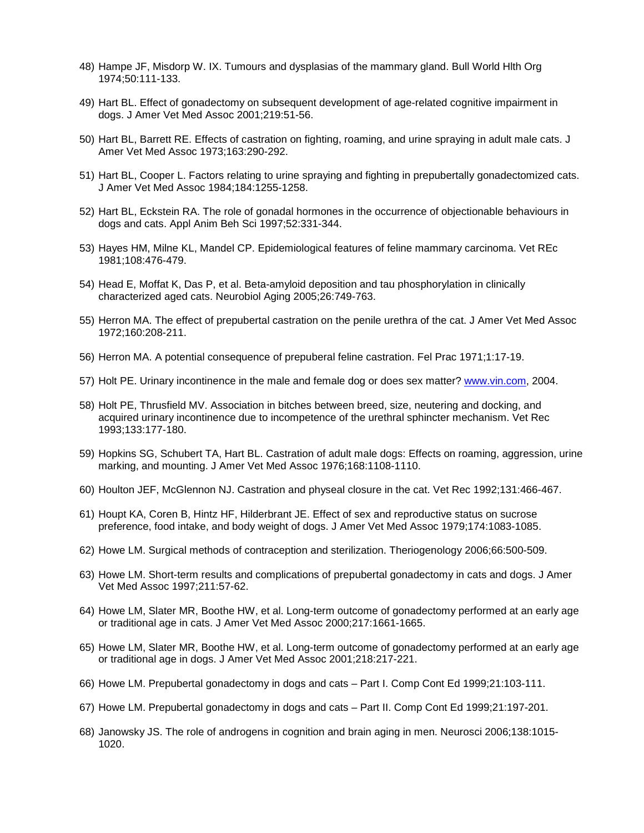- 48) Hampe JF, Misdorp W. IX. Tumours and dysplasias of the mammary gland. Bull World Hlth Org 1974;50:111-133.
- 49) Hart BL. Effect of gonadectomy on subsequent development of age-related cognitive impairment in dogs. J Amer Vet Med Assoc 2001;219:51-56.
- 50) Hart BL, Barrett RE. Effects of castration on fighting, roaming, and urine spraying in adult male cats. J Amer Vet Med Assoc 1973;163:290-292.
- 51) Hart BL, Cooper L. Factors relating to urine spraying and fighting in prepubertally gonadectomized cats. J Amer Vet Med Assoc 1984;184:1255-1258.
- 52) Hart BL, Eckstein RA. The role of gonadal hormones in the occurrence of objectionable behaviours in dogs and cats. Appl Anim Beh Sci 1997;52:331-344.
- 53) Hayes HM, Milne KL, Mandel CP. Epidemiological features of feline mammary carcinoma. Vet REc 1981;108:476-479.
- 54) Head E, Moffat K, Das P, et al. Beta-amyloid deposition and tau phosphorylation in clinically characterized aged cats. Neurobiol Aging 2005;26:749-763.
- 55) Herron MA. The effect of prepubertal castration on the penile urethra of the cat. J Amer Vet Med Assoc 1972;160:208-211.
- 56) Herron MA. A potential consequence of prepuberal feline castration. Fel Prac 1971;1:17-19.
- 57) Holt PE. Urinary incontinence in the male and female dog or does sex matter? www.vin.com, 2004.
- 58) Holt PE, Thrusfield MV. Association in bitches between breed, size, neutering and docking, and acquired urinary incontinence due to incompetence of the urethral sphincter mechanism. Vet Rec 1993;133:177-180.
- 59) Hopkins SG, Schubert TA, Hart BL. Castration of adult male dogs: Effects on roaming, aggression, urine marking, and mounting. J Amer Vet Med Assoc 1976;168:1108-1110.
- 60) Houlton JEF, McGlennon NJ. Castration and physeal closure in the cat. Vet Rec 1992;131:466-467.
- 61) Houpt KA, Coren B, Hintz HF, Hilderbrant JE. Effect of sex and reproductive status on sucrose preference, food intake, and body weight of dogs. J Amer Vet Med Assoc 1979;174:1083-1085.
- 62) Howe LM. Surgical methods of contraception and sterilization. Theriogenology 2006;66:500-509.
- 63) Howe LM. Short-term results and complications of prepubertal gonadectomy in cats and dogs. J Amer Vet Med Assoc 1997;211:57-62.
- 64) Howe LM, Slater MR, Boothe HW, et al. Long-term outcome of gonadectomy performed at an early age or traditional age in cats. J Amer Vet Med Assoc 2000;217:1661-1665.
- 65) Howe LM, Slater MR, Boothe HW, et al. Long-term outcome of gonadectomy performed at an early age or traditional age in dogs. J Amer Vet Med Assoc 2001;218:217-221.
- 66) Howe LM. Prepubertal gonadectomy in dogs and cats Part I. Comp Cont Ed 1999;21:103-111.
- 67) Howe LM. Prepubertal gonadectomy in dogs and cats Part II. Comp Cont Ed 1999;21:197-201.
- 68) Janowsky JS. The role of androgens in cognition and brain aging in men. Neurosci 2006;138:1015- 1020.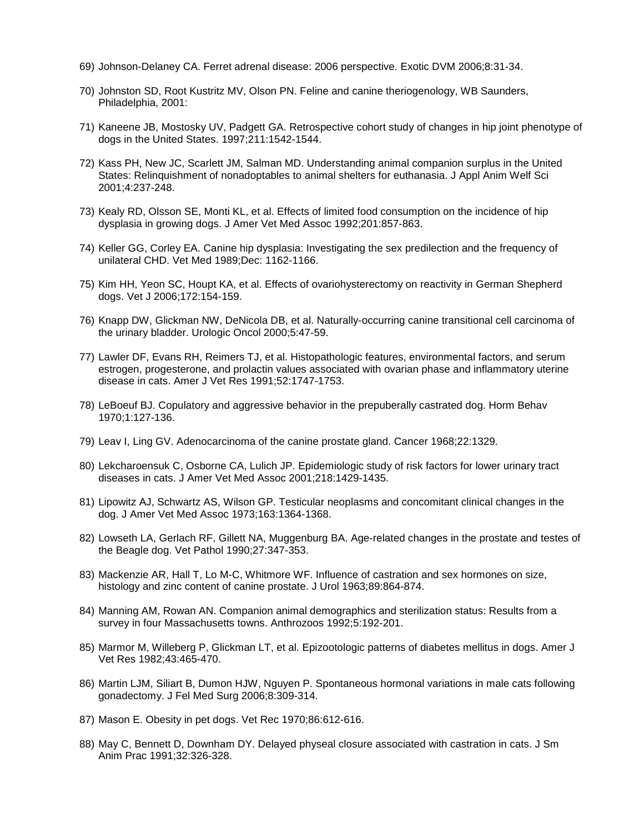- 69) Johnson-Delaney CA. Ferret adrenal disease: 2006 perspective. Exotic DVM 2006;8:31-34.
- 70) Johnston SD, Root Kustritz MV, Olson PN. Feline and canine theriogenology, WB Saunders, Philadelphia, 2001:
- 71) Kaneene JB, Mostosky UV, Padgett GA. Retrospective cohort study of changes in hip joint phenotype of dogs in the United States. 1997;211:1542-1544.
- 72) Kass PH, New JC, Scarlett JM, Salman MD. Understanding animal companion surplus in the United States: Relinquishment of nonadoptables to animal shelters for euthanasia. J Appl Anim Welf Sci 2001;4:237-248.
- 73) Kealy RD, Olsson SE, Monti KL, et al. Effects of limited food consumption on the incidence of hip dysplasia in growing dogs. J Amer Vet Med Assoc 1992;201:857-863.
- 74) Keller GG, Corley EA. Canine hip dysplasia: Investigating the sex predilection and the frequency of unilateral CHD. Vet Med 1989;Dec: 1162-1166.
- 75) Kim HH, Yeon SC, Houpt KA, et al. Effects of ovariohysterectomy on reactivity in German Shepherd dogs. Vet J 2006;172:154-159.
- 76) Knapp DW, Glickman NW, DeNicola DB, et al. Naturally-occurring canine transitional cell carcinoma of the urinary bladder. Urologic Oncol 2000;5:47-59.
- 77) Lawler DF, Evans RH, Reimers TJ, et al. Histopathologic features, environmental factors, and serum estrogen, progesterone, and prolactin values associated with ovarian phase and inflammatory uterine disease in cats. Amer J Vet Res 1991;52:1747-1753.
- 78) LeBoeuf BJ. Copulatory and aggressive behavior in the prepuberally castrated dog. Horm Behav 1970;1:127-136.
- 79) Leav I, Ling GV. Adenocarcinoma of the canine prostate gland. Cancer 1968;22:1329.
- 80) Lekcharoensuk C, Osborne CA, Lulich JP. Epidemiologic study of risk factors for lower urinary tract diseases in cats. J Amer Vet Med Assoc 2001;218:1429-1435.
- 81) Lipowitz AJ, Schwartz AS, Wilson GP. Testicular neoplasms and concomitant clinical changes in the dog. J Amer Vet Med Assoc 1973;163:1364-1368.
- 82) Lowseth LA, Gerlach RF, Gillett NA, Muggenburg BA. Age-related changes in the prostate and testes of the Beagle dog. Vet Pathol 1990;27:347-353.
- 83) Mackenzie AR, Hall T, Lo M-C, Whitmore WF. Influence of castration and sex hormones on size, histology and zinc content of canine prostate. J Urol 1963;89:864-874.
- 84) Manning AM, Rowan AN. Companion animal demographics and sterilization status: Results from a survey in four Massachusetts towns. Anthrozoos 1992;5:192-201.
- 85) Marmor M, Willeberg P, Glickman LT, et al. Epizootologic patterns of diabetes mellitus in dogs. Amer J Vet Res 1982;43:465-470.
- 86) Martin LJM, Siliart B, Dumon HJW, Nguyen P. Spontaneous hormonal variations in male cats following gonadectomy. J Fel Med Surg 2006;8:309-314.
- 87) Mason E. Obesity in pet dogs. Vet Rec 1970;86:612-616.
- 88) May C, Bennett D, Downham DY. Delayed physeal closure associated with castration in cats. J Sm Anim Prac 1991;32:326-328.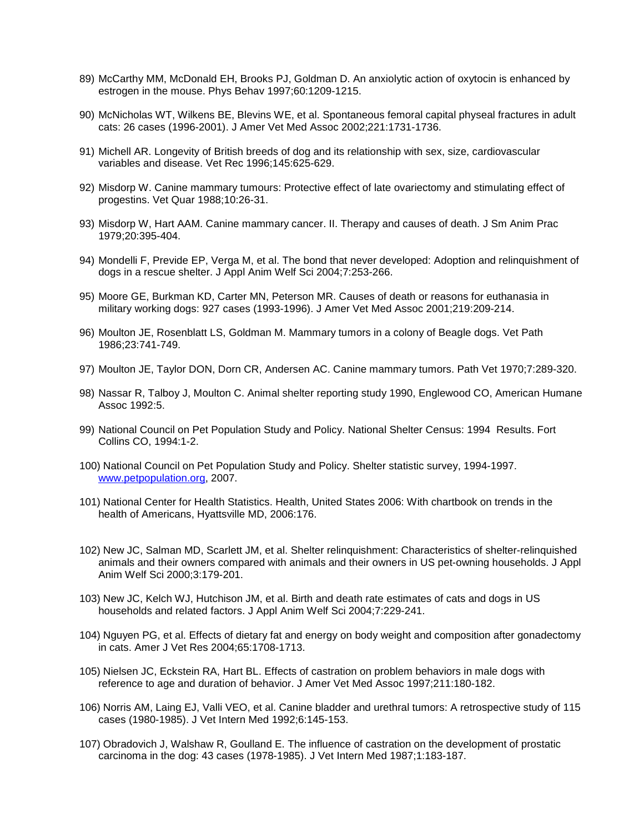- 89) McCarthy MM, McDonald EH, Brooks PJ, Goldman D. An anxiolytic action of oxytocin is enhanced by estrogen in the mouse. Phys Behav 1997;60:1209-1215.
- 90) McNicholas WT, Wilkens BE, Blevins WE, et al. Spontaneous femoral capital physeal fractures in adult cats: 26 cases (1996-2001). J Amer Vet Med Assoc 2002;221:1731-1736.
- 91) Michell AR. Longevity of British breeds of dog and its relationship with sex, size, cardiovascular variables and disease. Vet Rec 1996;145:625-629.
- 92) Misdorp W. Canine mammary tumours: Protective effect of late ovariectomy and stimulating effect of progestins. Vet Quar 1988;10:26-31.
- 93) Misdorp W, Hart AAM. Canine mammary cancer. II. Therapy and causes of death. J Sm Anim Prac 1979;20:395-404.
- 94) Mondelli F, Previde EP, Verga M, et al. The bond that never developed: Adoption and relinquishment of dogs in a rescue shelter. J Appl Anim Welf Sci 2004;7:253-266.
- 95) Moore GE, Burkman KD, Carter MN, Peterson MR. Causes of death or reasons for euthanasia in military working dogs: 927 cases (1993-1996). J Amer Vet Med Assoc 2001;219:209-214.
- 96) Moulton JE, Rosenblatt LS, Goldman M. Mammary tumors in a colony of Beagle dogs. Vet Path 1986;23:741-749.
- 97) Moulton JE, Taylor DON, Dorn CR, Andersen AC. Canine mammary tumors. Path Vet 1970;7:289-320.
- 98) Nassar R, Talboy J, Moulton C. Animal shelter reporting study 1990, Englewood CO, American Humane Assoc 1992:5.
- 99) National Council on Pet Population Study and Policy. National Shelter Census: 1994 Results. Fort Collins CO, 1994:1-2.
- 100) National Council on Pet Population Study and Policy. Shelter statistic survey, 1994-1997. www.petpopulation.org, 2007.
- 101) National Center for Health Statistics. Health, United States 2006: With chartbook on trends in the health of Americans, Hyattsville MD, 2006:176.
- 102) New JC, Salman MD, Scarlett JM, et al. Shelter relinquishment: Characteristics of shelter-relinquished animals and their owners compared with animals and their owners in US pet-owning households. J Appl Anim Welf Sci 2000;3:179-201.
- 103) New JC, Kelch WJ, Hutchison JM, et al. Birth and death rate estimates of cats and dogs in US households and related factors. J Appl Anim Welf Sci 2004;7:229-241.
- 104) Nguyen PG, et al. Effects of dietary fat and energy on body weight and composition after gonadectomy in cats. Amer J Vet Res 2004;65:1708-1713.
- 105) Nielsen JC, Eckstein RA, Hart BL. Effects of castration on problem behaviors in male dogs with reference to age and duration of behavior. J Amer Vet Med Assoc 1997;211:180-182.
- 106) Norris AM, Laing EJ, Valli VEO, et al. Canine bladder and urethral tumors: A retrospective study of 115 cases (1980-1985). J Vet Intern Med 1992;6:145-153.
- 107) Obradovich J, Walshaw R, Goulland E. The influence of castration on the development of prostatic carcinoma in the dog: 43 cases (1978-1985). J Vet Intern Med 1987;1:183-187.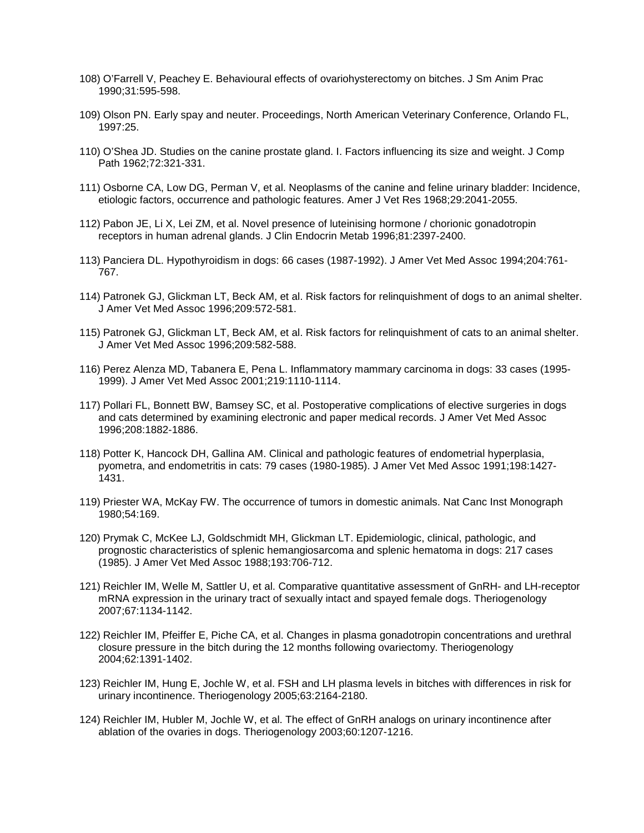- 108) O'Farrell V, Peachey E. Behavioural effects of ovariohysterectomy on bitches. J Sm Anim Prac 1990;31:595-598.
- 109) Olson PN. Early spay and neuter. Proceedings, North American Veterinary Conference, Orlando FL, 1997:25.
- 110) O'Shea JD. Studies on the canine prostate gland. I. Factors influencing its size and weight. J Comp Path 1962;72:321-331.
- 111) Osborne CA, Low DG, Perman V, et al. Neoplasms of the canine and feline urinary bladder: Incidence, etiologic factors, occurrence and pathologic features. Amer J Vet Res 1968;29:2041-2055.
- 112) Pabon JE, Li X, Lei ZM, et al. Novel presence of luteinising hormone / chorionic gonadotropin receptors in human adrenal glands. J Clin Endocrin Metab 1996;81:2397-2400.
- 113) Panciera DL. Hypothyroidism in dogs: 66 cases (1987-1992). J Amer Vet Med Assoc 1994;204:761- 767.
- 114) Patronek GJ, Glickman LT, Beck AM, et al. Risk factors for relinquishment of dogs to an animal shelter. J Amer Vet Med Assoc 1996;209:572-581.
- 115) Patronek GJ, Glickman LT, Beck AM, et al. Risk factors for relinquishment of cats to an animal shelter. J Amer Vet Med Assoc 1996;209:582-588.
- 116) Perez Alenza MD, Tabanera E, Pena L. Inflammatory mammary carcinoma in dogs: 33 cases (1995- 1999). J Amer Vet Med Assoc 2001;219:1110-1114.
- 117) Pollari FL, Bonnett BW, Bamsey SC, et al. Postoperative complications of elective surgeries in dogs and cats determined by examining electronic and paper medical records. J Amer Vet Med Assoc 1996;208:1882-1886.
- 118) Potter K, Hancock DH, Gallina AM. Clinical and pathologic features of endometrial hyperplasia, pyometra, and endometritis in cats: 79 cases (1980-1985). J Amer Vet Med Assoc 1991;198:1427- 1431.
- 119) Priester WA, McKay FW. The occurrence of tumors in domestic animals. Nat Canc Inst Monograph 1980;54:169.
- 120) Prymak C, McKee LJ, Goldschmidt MH, Glickman LT. Epidemiologic, clinical, pathologic, and prognostic characteristics of splenic hemangiosarcoma and splenic hematoma in dogs: 217 cases (1985). J Amer Vet Med Assoc 1988;193:706-712.
- 121) Reichler IM, Welle M, Sattler U, et al. Comparative quantitative assessment of GnRH- and LH-receptor mRNA expression in the urinary tract of sexually intact and spayed female dogs. Theriogenology 2007;67:1134-1142.
- 122) Reichler IM, Pfeiffer E, Piche CA, et al. Changes in plasma gonadotropin concentrations and urethral closure pressure in the bitch during the 12 months following ovariectomy. Theriogenology 2004;62:1391-1402.
- 123) Reichler IM, Hung E, Jochle W, et al. FSH and LH plasma levels in bitches with differences in risk for urinary incontinence. Theriogenology 2005;63:2164-2180.
- 124) Reichler IM, Hubler M, Jochle W, et al. The effect of GnRH analogs on urinary incontinence after ablation of the ovaries in dogs. Theriogenology 2003;60:1207-1216.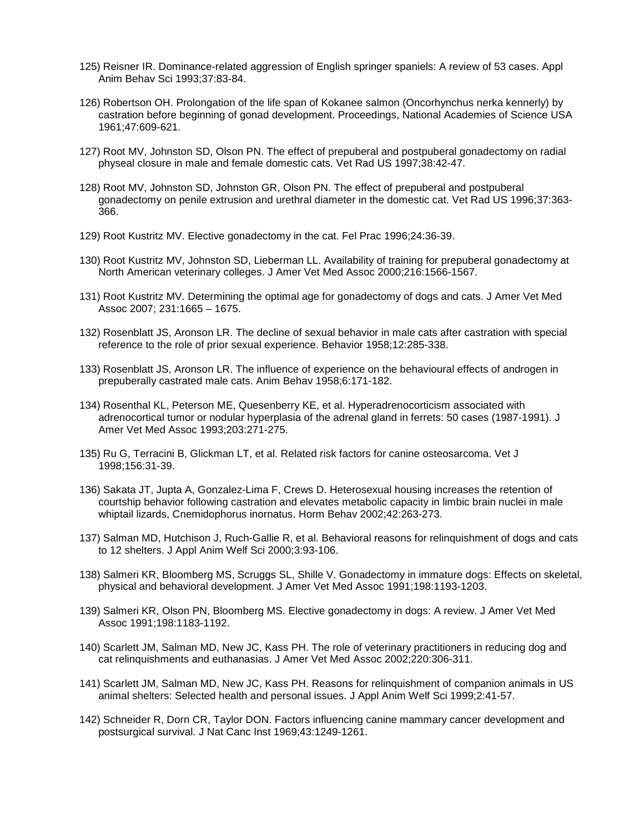- 125) Reisner IR. Dominance-related aggression of English springer spaniels: A review of 53 cases. Appl Anim Behav Sci 1993;37:83-84.
- 126) Robertson OH. Prolongation of the life span of Kokanee salmon (Oncorhynchus nerka kennerly) by castration before beginning of gonad development. Proceedings, National Academies of Science USA 1961;47:609-621.
- 127) Root MV, Johnston SD, Olson PN. The effect of prepuberal and postpuberal gonadectomy on radial physeal closure in male and female domestic cats. Vet Rad US 1997;38:42-47.
- 128) Root MV, Johnston SD, Johnston GR, Olson PN. The effect of prepuberal and postpuberal gonadectomy on penile extrusion and urethral diameter in the domestic cat. Vet Rad US 1996;37:363- 366.
- 129) Root Kustritz MV. Elective gonadectomy in the cat. Fel Prac 1996;24:36-39.
- 130) Root Kustritz MV, Johnston SD, Lieberman LL. Availability of training for prepuberal gonadectomy at North American veterinary colleges. J Amer Vet Med Assoc 2000;216:1566-1567.
- 131) Root Kustritz MV. Determining the optimal age for gonadectomy of dogs and cats. J Amer Vet Med Assoc 2007; 231:1665 – 1675.
- 132) Rosenblatt JS, Aronson LR. The decline of sexual behavior in male cats after castration with special reference to the role of prior sexual experience. Behavior 1958;12:285-338.
- 133) Rosenblatt JS, Aronson LR. The influence of experience on the behavioural effects of androgen in prepuberally castrated male cats. Anim Behav 1958;6:171-182.
- 134) Rosenthal KL, Peterson ME, Quesenberry KE, et al. Hyperadrenocorticism associated with adrenocortical tumor or nodular hyperplasia of the adrenal gland in ferrets: 50 cases (1987-1991). J Amer Vet Med Assoc 1993;203:271-275.
- 135) Ru G, Terracini B, Glickman LT, et al. Related risk factors for canine osteosarcoma. Vet J 1998;156:31-39.
- 136) Sakata JT, Jupta A, Gonzalez-Lima F, Crews D. Heterosexual housing increases the retention of courtship behavior following castration and elevates metabolic capacity in limbic brain nuclei in male whiptail lizards, Cnemidophorus inornatus. Horm Behav 2002;42:263-273.
- 137) Salman MD, Hutchison J, Ruch-Gallie R, et al. Behavioral reasons for relinquishment of dogs and cats to 12 shelters. J Appl Anim Welf Sci 2000;3:93-106.
- 138) Salmeri KR, Bloomberg MS, Scruggs SL, Shille V. Gonadectomy in immature dogs: Effects on skeletal, physical and behavioral development. J Amer Vet Med Assoc 1991;198:1193-1203.
- 139) Salmeri KR, Olson PN, Bloomberg MS. Elective gonadectomy in dogs: A review. J Amer Vet Med Assoc 1991;198:1183-1192.
- 140) Scarlett JM, Salman MD, New JC, Kass PH. The role of veterinary practitioners in reducing dog and cat relinquishments and euthanasias. J Amer Vet Med Assoc 2002;220:306-311.
- 141) Scarlett JM, Salman MD, New JC, Kass PH. Reasons for relinquishment of companion animals in US animal shelters: Selected health and personal issues. J Appl Anim Welf Sci 1999;2:41-57.
- 142) Schneider R, Dorn CR, Taylor DON. Factors influencing canine mammary cancer development and postsurgical survival. J Nat Canc Inst 1969;43:1249-1261.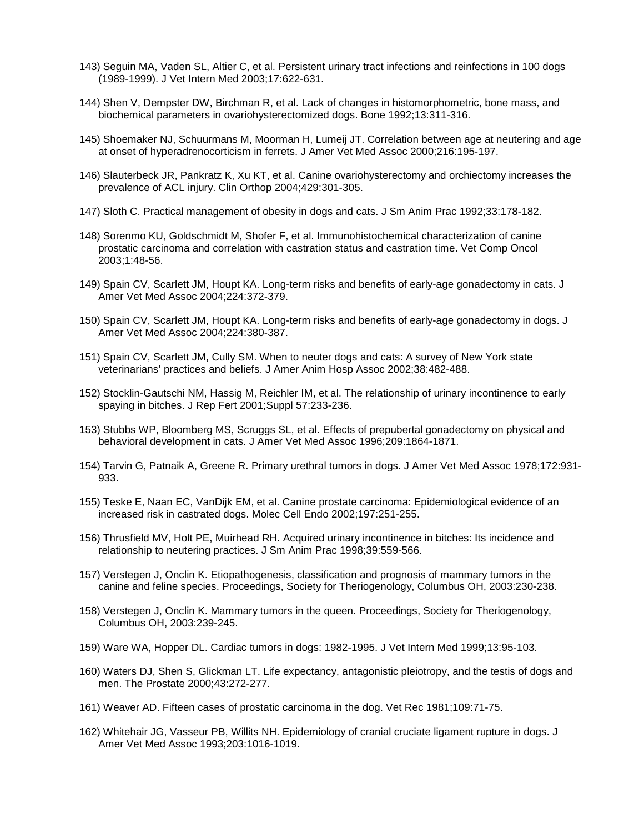- 143) Seguin MA, Vaden SL, Altier C, et al. Persistent urinary tract infections and reinfections in 100 dogs (1989-1999). J Vet Intern Med 2003;17:622-631.
- 144) Shen V, Dempster DW, Birchman R, et al. Lack of changes in histomorphometric, bone mass, and biochemical parameters in ovariohysterectomized dogs. Bone 1992;13:311-316.
- 145) Shoemaker NJ, Schuurmans M, Moorman H, Lumeij JT. Correlation between age at neutering and age at onset of hyperadrenocorticism in ferrets. J Amer Vet Med Assoc 2000;216:195-197.
- 146) Slauterbeck JR, Pankratz K, Xu KT, et al. Canine ovariohysterectomy and orchiectomy increases the prevalence of ACL injury. Clin Orthop 2004;429:301-305.
- 147) Sloth C. Practical management of obesity in dogs and cats. J Sm Anim Prac 1992;33:178-182.
- 148) Sorenmo KU, Goldschmidt M, Shofer F, et al. Immunohistochemical characterization of canine prostatic carcinoma and correlation with castration status and castration time. Vet Comp Oncol 2003;1:48-56.
- 149) Spain CV, Scarlett JM, Houpt KA. Long-term risks and benefits of early-age gonadectomy in cats. J Amer Vet Med Assoc 2004;224:372-379.
- 150) Spain CV, Scarlett JM, Houpt KA. Long-term risks and benefits of early-age gonadectomy in dogs. J Amer Vet Med Assoc 2004;224:380-387.
- 151) Spain CV, Scarlett JM, Cully SM. When to neuter dogs and cats: A survey of New York state veterinarians' practices and beliefs. J Amer Anim Hosp Assoc 2002;38:482-488.
- 152) Stocklin-Gautschi NM, Hassig M, Reichler IM, et al. The relationship of urinary incontinence to early spaying in bitches. J Rep Fert 2001;Suppl 57:233-236.
- 153) Stubbs WP, Bloomberg MS, Scruggs SL, et al. Effects of prepubertal gonadectomy on physical and behavioral development in cats. J Amer Vet Med Assoc 1996;209:1864-1871.
- 154) Tarvin G, Patnaik A, Greene R. Primary urethral tumors in dogs. J Amer Vet Med Assoc 1978;172:931- 933.
- 155) Teske E, Naan EC, VanDijk EM, et al. Canine prostate carcinoma: Epidemiological evidence of an increased risk in castrated dogs. Molec Cell Endo 2002;197:251-255.
- 156) Thrusfield MV, Holt PE, Muirhead RH. Acquired urinary incontinence in bitches: Its incidence and relationship to neutering practices. J Sm Anim Prac 1998;39:559-566.
- 157) Verstegen J, Onclin K. Etiopathogenesis, classification and prognosis of mammary tumors in the canine and feline species. Proceedings, Society for Theriogenology, Columbus OH, 2003:230-238.
- 158) Verstegen J, Onclin K. Mammary tumors in the queen. Proceedings, Society for Theriogenology, Columbus OH, 2003:239-245.
- 159) Ware WA, Hopper DL. Cardiac tumors in dogs: 1982-1995. J Vet Intern Med 1999;13:95-103.
- 160) Waters DJ, Shen S, Glickman LT. Life expectancy, antagonistic pleiotropy, and the testis of dogs and men. The Prostate 2000;43:272-277.
- 161) Weaver AD. Fifteen cases of prostatic carcinoma in the dog. Vet Rec 1981;109:71-75.
- 162) Whitehair JG, Vasseur PB, Willits NH. Epidemiology of cranial cruciate ligament rupture in dogs. J Amer Vet Med Assoc 1993;203:1016-1019.